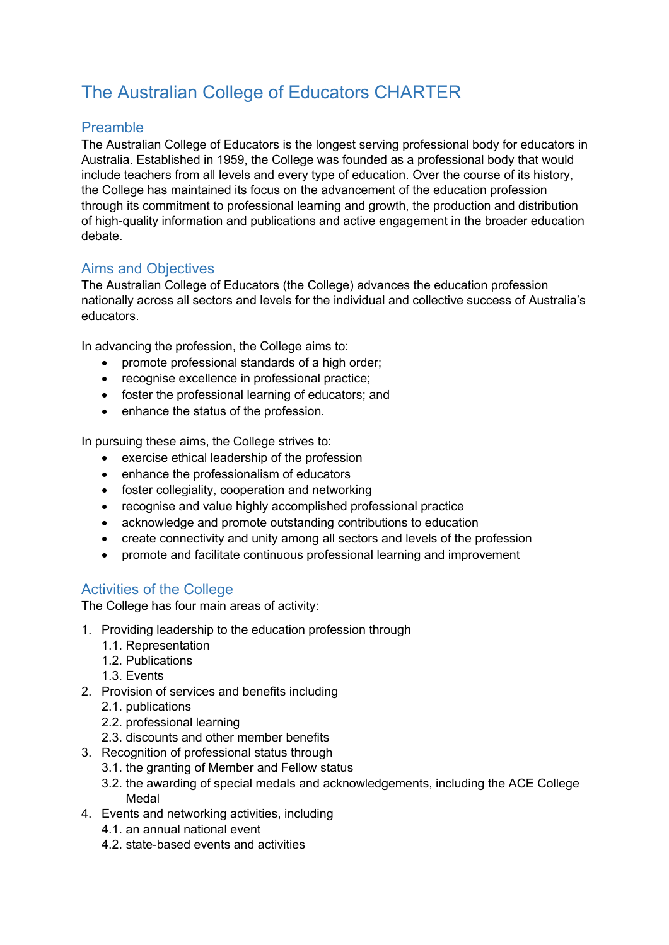# The Australian College of Educators CHARTER

## Preamble

The Australian College of Educators is the longest serving professional body for educators in Australia. Established in 1959, the College was founded as a professional body that would include teachers from all levels and every type of education. Over the course of its history, the College has maintained its focus on the advancement of the education profession through its commitment to professional learning and growth, the production and distribution of high-quality information and publications and active engagement in the broader education debate.

## Aims and Objectives

The Australian College of Educators (the College) advances the education profession nationally across all sectors and levels for the individual and collective success of Australia's educators.

In advancing the profession, the College aims to:

- promote professional standards of a high order;
- recognise excellence in professional practice;
- foster the professional learning of educators; and
- enhance the status of the profession.

In pursuing these aims, the College strives to:

- exercise ethical leadership of the profession
- enhance the professionalism of educators
- foster collegiality, cooperation and networking
- recognise and value highly accomplished professional practice
- acknowledge and promote outstanding contributions to education
- create connectivity and unity among all sectors and levels of the profession
- promote and facilitate continuous professional learning and improvement

#### Activities of the College

The College has four main areas of activity:

- 1. Providing leadership to the education profession through
	- 1.1. Representation
	- 1.2. Publications
	- 1.3. Events
- 2. Provision of services and benefits including
	- 2.1. publications
	- 2.2. professional learning
	- 2.3. discounts and other member benefits
- 3. Recognition of professional status through
	- 3.1. the granting of Member and Fellow status
	- 3.2. the awarding of special medals and acknowledgements, including the ACE College Medal
- 4. Events and networking activities, including
	- 4.1. an annual national event
	- 4.2. state-based events and activities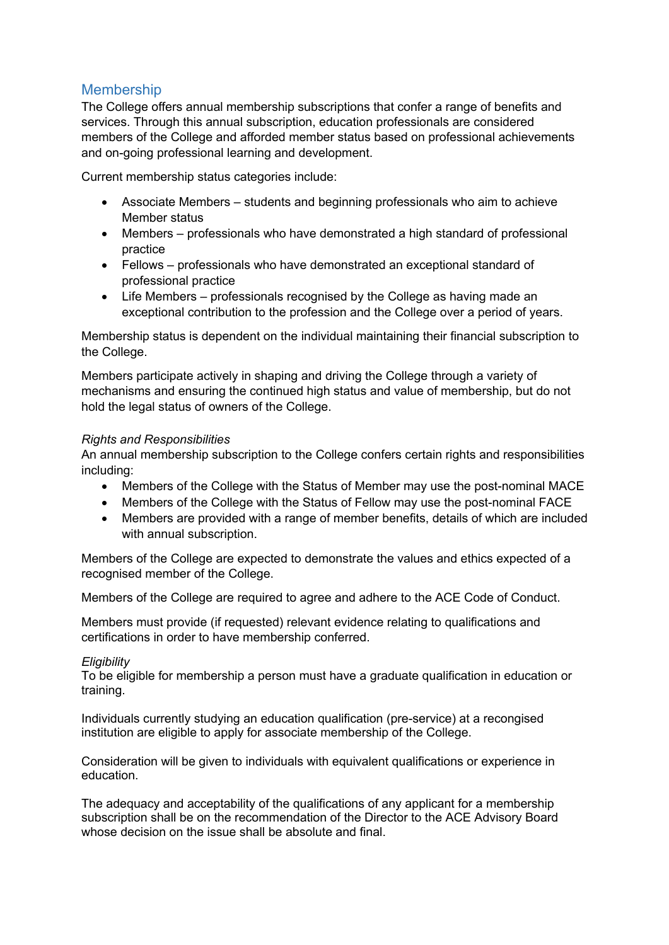#### Membership

The College offers annual membership subscriptions that confer a range of benefits and services. Through this annual subscription, education professionals are considered members of the College and afforded member status based on professional achievements and on-going professional learning and development.

Current membership status categories include:

- Associate Members students and beginning professionals who aim to achieve Member status
- Members professionals who have demonstrated a high standard of professional practice
- Fellows professionals who have demonstrated an exceptional standard of professional practice
- Life Members professionals recognised by the College as having made an exceptional contribution to the profession and the College over a period of years.

Membership status is dependent on the individual maintaining their financial subscription to the College.

Members participate actively in shaping and driving the College through a variety of mechanisms and ensuring the continued high status and value of membership, but do not hold the legal status of owners of the College.

#### *Rights and Responsibilities*

An annual membership subscription to the College confers certain rights and responsibilities including:

- Members of the College with the Status of Member may use the post-nominal MACE
- Members of the College with the Status of Fellow may use the post-nominal FACE
- Members are provided with a range of member benefits, details of which are included with annual subscription.

Members of the College are expected to demonstrate the values and ethics expected of a recognised member of the College.

Members of the College are required to agree and adhere to the ACE Code of Conduct.

Members must provide (if requested) relevant evidence relating to qualifications and certifications in order to have membership conferred.

#### *Eligibility*

To be eligible for membership a person must have a graduate qualification in education or training.

Individuals currently studying an education qualification (pre-service) at a recongised institution are eligible to apply for associate membership of the College.

Consideration will be given to individuals with equivalent qualifications or experience in education.

The adequacy and acceptability of the qualifications of any applicant for a membership subscription shall be on the recommendation of the Director to the ACE Advisory Board whose decision on the issue shall be absolute and final.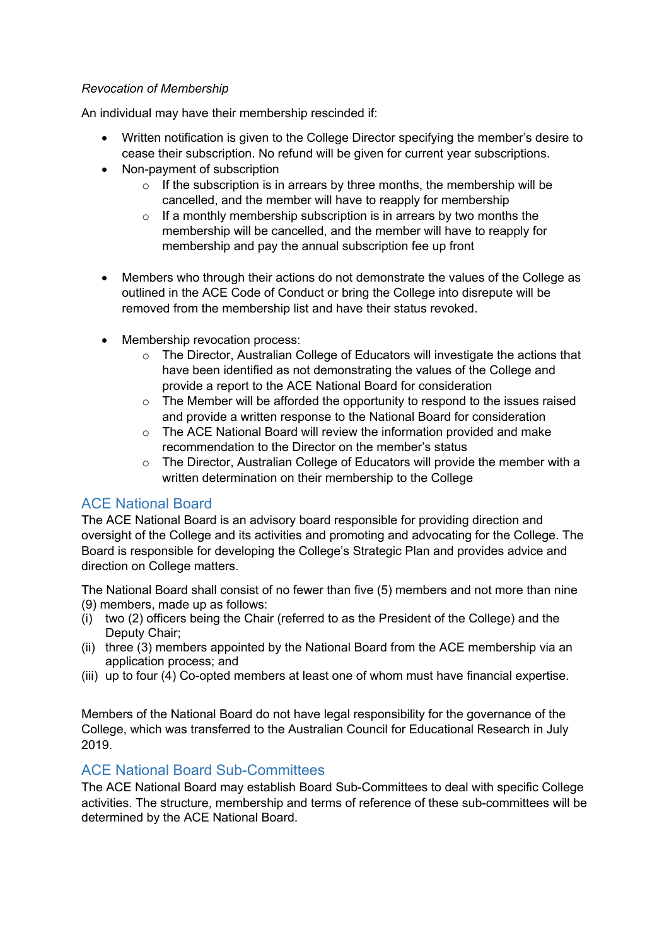#### *Revocation of Membership*

An individual may have their membership rescinded if:

- Written notification is given to the College Director specifying the member's desire to cease their subscription. No refund will be given for current year subscriptions.
- Non-payment of subscription
	- $\circ$  If the subscription is in arrears by three months, the membership will be cancelled, and the member will have to reapply for membership
	- $\circ$  If a monthly membership subscription is in arrears by two months the membership will be cancelled, and the member will have to reapply for membership and pay the annual subscription fee up front
- Members who through their actions do not demonstrate the values of the College as outlined in the ACE Code of Conduct or bring the College into disrepute will be removed from the membership list and have their status revoked.
- Membership revocation process:
	- $\circ$  The Director, Australian College of Educators will investigate the actions that have been identified as not demonstrating the values of the College and provide a report to the ACE National Board for consideration
	- $\circ$  The Member will be afforded the opportunity to respond to the issues raised and provide a written response to the National Board for consideration
	- $\circ$  The ACE National Board will review the information provided and make recommendation to the Director on the member's status
	- $\circ$  The Director, Australian College of Educators will provide the member with a written determination on their membership to the College

#### ACE National Board

The ACE National Board is an advisory board responsible for providing direction and oversight of the College and its activities and promoting and advocating for the College. The Board is responsible for developing the College's Strategic Plan and provides advice and direction on College matters.

The National Board shall consist of no fewer than five (5) members and not more than nine (9) members, made up as follows:

- (i) two (2) officers being the Chair (referred to as the President of the College) and the Deputy Chair;
- (ii) three (3) members appointed by the National Board from the ACE membership via an application process; and
- (iii) up to four (4) Co-opted members at least one of whom must have financial expertise.

Members of the National Board do not have legal responsibility for the governance of the College, which was transferred to the Australian Council for Educational Research in July 2019.

#### ACE National Board Sub-Committees

The ACE National Board may establish Board Sub-Committees to deal with specific College activities. The structure, membership and terms of reference of these sub-committees will be determined by the ACE National Board.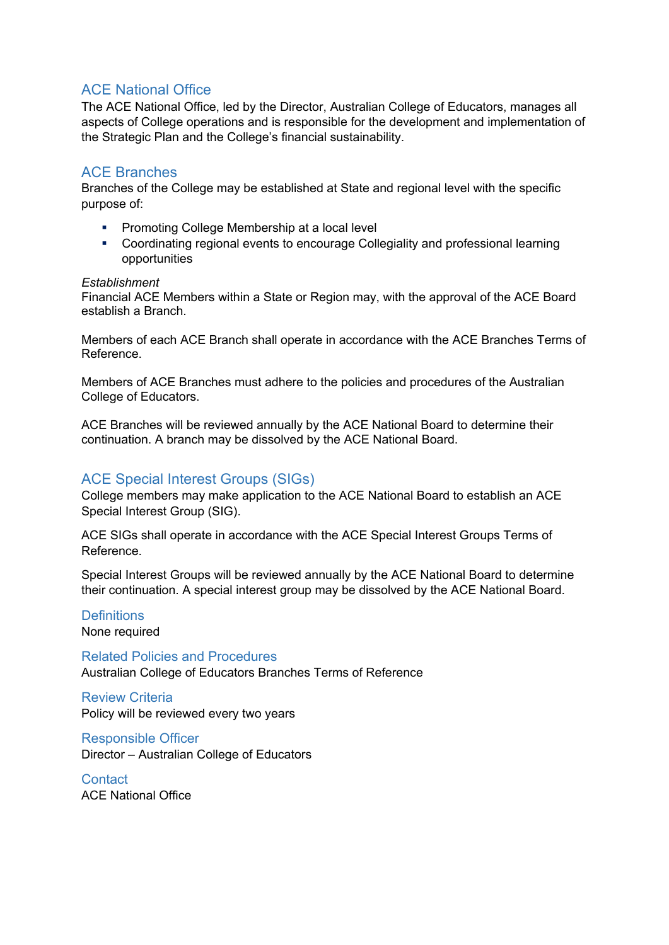#### ACE National Office

The ACE National Office, led by the Director, Australian College of Educators, manages all aspects of College operations and is responsible for the development and implementation of the Strategic Plan and the College's financial sustainability.

#### ACE Branches

Branches of the College may be established at State and regional level with the specific purpose of:

- Promoting College Membership at a local level
- § Coordinating regional events to encourage Collegiality and professional learning opportunities

#### *Establishment*

Financial ACE Members within a State or Region may, with the approval of the ACE Board establish a Branch.

Members of each ACE Branch shall operate in accordance with the ACE Branches Terms of Reference.

Members of ACE Branches must adhere to the policies and procedures of the Australian College of Educators.

ACE Branches will be reviewed annually by the ACE National Board to determine their continuation. A branch may be dissolved by the ACE National Board.

#### ACE Special Interest Groups (SIGs)

College members may make application to the ACE National Board to establish an ACE Special Interest Group (SIG).

ACE SIGs shall operate in accordance with the ACE Special Interest Groups Terms of Reference.

Special Interest Groups will be reviewed annually by the ACE National Board to determine their continuation. A special interest group may be dissolved by the ACE National Board.

## **Definitions**

None required

Related Policies and Procedures Australian College of Educators Branches Terms of Reference

Review Criteria Policy will be reviewed every two years

Responsible Officer Director – Australian College of Educators

**Contact** ACE National Office